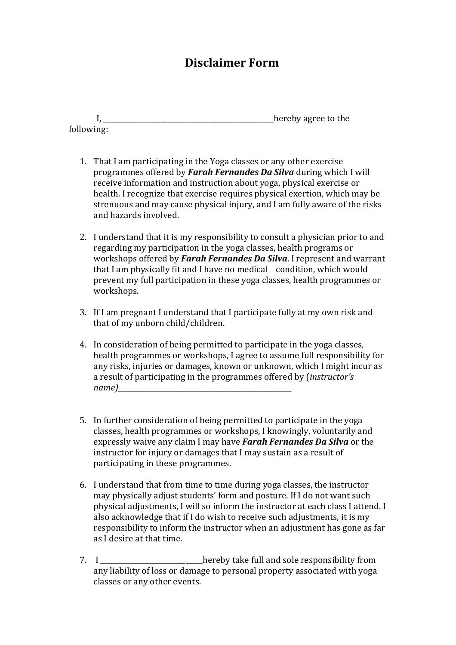## **Disclaimer Form**

I, \_\_\_\_\_\_\_\_\_\_\_\_\_\_\_\_\_\_\_\_\_\_\_\_\_\_\_\_\_\_\_\_\_\_\_\_\_\_\_\_\_\_\_\_\_\_\_\_\_\_hereby agree to the following:

- 1. That I am participating in the Yoga classes or any other exercise programmes offered by *Farah Fernandes Da Silva* during which I will receive information and instruction about yoga, physical exercise or health. I recognize that exercise requires physical exertion, which may be strenuous and may cause physical injury, and I am fully aware of the risks and hazards involved.
- 2. I understand that it is my responsibility to consult a physician prior to and regarding my participation in the yoga classes, health programs or workshops offered by *Farah Fernandes Da Silva*. I represent and warrant that I am physically fit and I have no medical condition, which would prevent my full participation in these yoga classes, health programmes or workshops.
- 3. If I am pregnant I understand that I participate fully at my own risk and that of my unborn child/children.
- 4. In consideration of being permitted to participate in the yoga classes, health programmes or workshops, I agree to assume full responsibility for any risks, injuries or damages, known or unknown, which I might incur as a result of participating in the programmes offered by (*instructor's*   $name)$
- 5. In further consideration of being permitted to participate in the yoga classes, health programmes or workshops, I knowingly, voluntarily and expressly waive any claim I may have *Farah Fernandes Da Silva* or the instructor for injury or damages that I may sustain as a result of participating in these programmes.
- 6. I understand that from time to time during yoga classes, the instructor may physically adjust students' form and posture. If I do not want such physical adjustments, I will so inform the instructor at each class I attend. I also acknowledge that if I do wish to receive such adjustments, it is my responsibility to inform the instructor when an adjustment has gone as far as I desire at that time.
- 7. I \_\_\_\_\_\_\_\_\_\_\_\_\_\_\_\_\_\_\_\_\_\_\_\_\_\_\_\_\_\_hereby take full and sole responsibility from any liability of loss or damage to personal property associated with yoga classes or any other events.